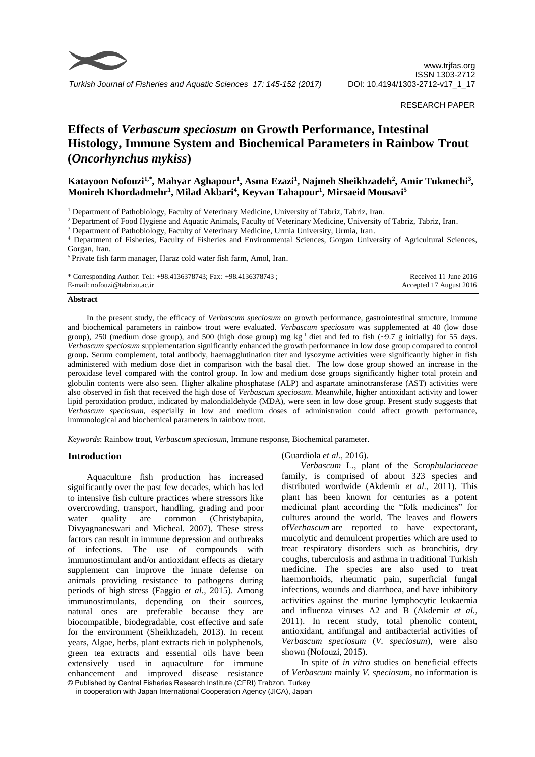

*Turkish Journal of Fisheries and Aquatic Sciences 17: 145-152 (2017)*

## RESEARCH PAPER

# **Effects of** *Verbascum speciosum* **on Growth Performance, Intestinal Histology, Immune System and Biochemical Parameters in Rainbow Trout (***Oncorhynchus mykiss***)**

## **Katayoon Nofouzi1,\*, Mahyar Aghapour<sup>1</sup> , Asma Ezazi<sup>1</sup> , Najmeh Sheikhzadeh<sup>2</sup> , Amir Tukmechi<sup>3</sup> , Monireh Khordadmehr<sup>1</sup> , Milad Akbari<sup>4</sup> , Keyvan Tahapour<sup>1</sup> , Mirsaeid Mousavi<sup>5</sup>**

<sup>1</sup> Department of Pathobiology, Faculty of Veterinary Medicine, University of Tabriz, Tabriz, Iran.

<sup>2</sup> Department of Food Hygiene and Aquatic Animals, Faculty of Veterinary Medicine, University of Tabriz, Tabriz, Iran.

<sup>3</sup> Department of Pathobiology, Faculty of Veterinary Medicine, Urmia University, Urmia, Iran.

<sup>4</sup> Department of Fisheries, Faculty of Fisheries and Environmental Sciences, Gorgan University of Agricultural Sciences, Gorgan, Iran.

<sup>5</sup> Private fish farm manager, Haraz cold water fish farm, Amol, Iran.

| * Corresponding Author: Tel.: $+98.4136378743$ ; Fax: $+98.4136378743$ ; | Received 11 June 2016   |
|--------------------------------------------------------------------------|-------------------------|
| E-mail: nofouzi@tabrizu.ac.ir                                            | Accepted 17 August 2016 |

#### **Abstract**

In the present study, the efficacy of *Verbascum speciosum* on growth performance, gastrointestinal structure, immune and biochemical parameters in rainbow trout were evaluated. *Verbascum speciosum* was supplemented at 40 (low dose group), 250 (medium dose group), and 500 (high dose group) mg kg<sup>-1</sup> diet and fed to fish  $(\sim 9.7 \text{ g initially})$  for 55 days. *Verbascum speciosum* supplementation significantly enhanced the growth performance in low dose group compared to control group**.** Serum complement, total antibody, haemagglutination titer and lysozyme activities were significantly higher in fish administered with medium dose diet in comparison with the basal diet. The low dose group showed an increase in the peroxidase level compared with the control group. In low and medium dose groups significantly higher total protein and globulin contents were also seen. Higher alkaline phosphatase (ALP) and aspartate aminotransferase (AST) activities were also observed in fish that received the high dose of *Verbascum speciosum*. Meanwhile, higher antioxidant activity and lower lipid peroxidation product, indicated by malondialdehyde (MDA), were seen in low dose group. Present study suggests that *Verbascum speciosum,* especially in low and medium doses of administration could affect growth performance, immunological and biochemical parameters in rainbow trout.

*Keywords*: Rainbow trout, *Verbascum speciosum*, Immune response, Biochemical parameter.

#### **Introduction**

Aquaculture fish production has increased significantly over the past few decades, which has led to intensive fish culture practices where stressors like overcrowding, transport, handling, grading and poor water quality are common (Christybapita*,*  Divyagnaneswari and Micheal*.* 2007). These stress factors can result in immune depression and outbreaks of infections. The use of compounds with immunostimulant and/or antioxidant effects as dietary supplement can improve the innate defense on animals providing resistance to pathogens during periods of high stress (Faggio *et al.,* 2015). Among immunostimulants, depending on their sources, natural ones are preferable because they are biocompatible, biodegradable, cost effective and safe for the environment (Sheikhzadeh, 2013). In recent years, Algae, herbs, plant extracts rich in polyphenols, green tea extracts and essential oils have been extensively used in aquaculture for immune enhancement and improved disease resistance (Guardiola *et al.,* 2016).

*Verbascum* L., plant of the *Scrophulariaceae*  family, is comprised of about 323 species and distributed wordwide (Akdemir *et al.,* 2011). This plant has been known for centuries as a potent medicinal plant according the "folk medicines" for cultures around the world. The leaves and flowers of*Verbascum* are reported to have expectorant, mucolytic and demulcent properties which are used to treat respiratory disorders such as bronchitis, dry coughs, tuberculosis and asthma in traditional Turkish medicine. The species are also used to treat haemorrhoids, rheumatic pain, superficial fungal infections, wounds and diarrhoea, and have inhibitory activities against the murine lymphocytic leukaemia and influenza viruses A2 and B (Akdemir *et al.,* 2011). In recent study, total phenolic content, antioxidant, antifungal and antibacterial activities of *Verbascum speciosum* (*V. speciosum*), were also shown (Nofouzi, 2015).

In spite of *in vitro* studies on beneficial effects of *Verbascum* mainly *V. speciosum*, no information is

<sup>©</sup> Published by Central Fisheries Research Institute (CFRI) Trabzon, Turkey in cooperation with Japan International Cooperation Agency (JICA), Japan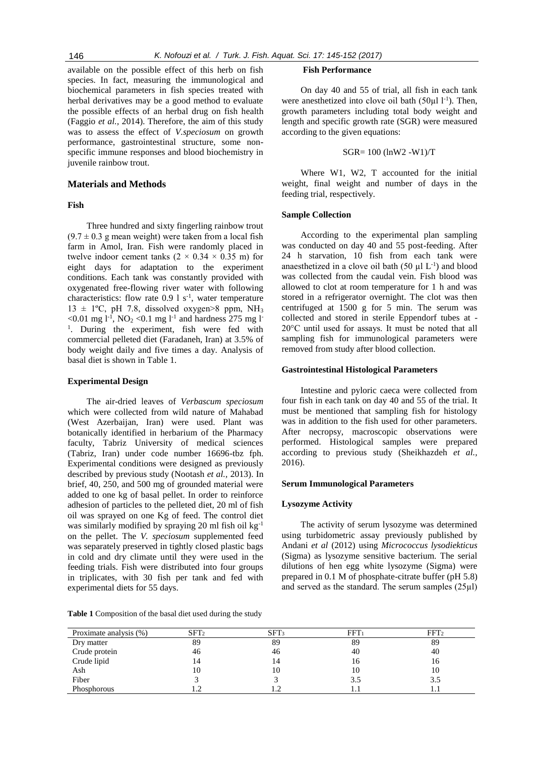available on the possible effect of this herb on fish species. In fact, measuring the immunological and biochemical parameters in fish species treated with herbal derivatives may be a good method to evaluate the possible effects of an herbal drug on fish health (Faggio *et al.,* 2014). Therefore, the aim of this study was to assess the effect of *V.speciosum* on growth performance, gastrointestinal structure, some nonspecific immune responses and blood biochemistry in juvenile rainbow trout.

## **Materials and Methods**

## **Fish**

Three hundred and sixty fingerling rainbow trout  $(9.7 \pm 0.3$  g mean weight) were taken from a local fish farm in Amol, Iran. Fish were randomly placed in twelve indoor cement tanks  $(2 \times 0.34 \times 0.35 \text{ m})$  for eight days for adaptation to the experiment conditions. Each tank was constantly provided with oxygenated free-flowing river water with following characteristics: flow rate  $0.9 \, 1 \, \text{s}^{-1}$ , water temperature  $13 \pm 1$ °C, pH 7.8, dissolved oxygen>8 ppm, NH<sub>3</sub> <0.01 mg  $l^{-1}$ , NO<sub>2</sub> <0.1 mg  $l^{-1}$  and hardness 275 mg  $l^{-1}$ <sup>1</sup>. During the experiment, fish were fed with commercial pelleted diet (Faradaneh, Iran) at 3.5% of body weight daily and five times a day. Analysis of basal diet is shown in Table 1.

## **Experimental Design**

The air-dried leaves of *Verbascum speciosum* which were collected from wild nature of Mahabad (West Azerbaijan, Iran) were used. Plant was botanically identified in herbarium of the Pharmacy faculty, Tabriz University of medical sciences (Tabriz, Iran) under code number 16696-tbz fph. Experimental conditions were designed as previously described by previous study (Nootash *et al.,* 2013). In brief, 40, 250, and 500 mg of grounded material were added to one kg of basal pellet. In order to reinforce adhesion of particles to the pelleted diet, 20 ml of fish oil was sprayed on one Kg of feed. The control diet was similarly modified by spraying 20 ml fish oil kg<sup>-1</sup> on the pellet. The *V. speciosum* supplemented feed was separately preserved in tightly closed plastic bags in cold and dry climate until they were used in the feeding trials. Fish were distributed into four groups in triplicates, with 30 fish per tank and fed with experimental diets for 55 days.

**Table 1** Composition of the basal diet used during the study

#### **Fish Performance**

On day 40 and 55 of trial, all fish in each tank were anesthetized into clove oil bath  $(50\mu l l^{-1})$ . Then, growth parameters including total body weight and length and specific growth rate (SGR) were measured according to the given equations:

## SGR= 100 (lnW2 -W1)/T

Where W1, W2, T accounted for the initial weight, final weight and number of days in the feeding trial, respectively.

## **Sample Collection**

According to the experimental plan sampling was conducted on day 40 and 55 post-feeding. After 24 h starvation, 10 fish from each tank were anaesthetized in a clove oil bath  $(50 \mu L^{-1})$  and blood was collected from the caudal vein. Fish blood was allowed to clot at room temperature for 1 h and was stored in a refrigerator overnight. The clot was then centrifuged at 1500 g for 5 min. The serum was collected and stored in sterile Eppendorf tubes at - 20°C until used for assays. It must be noted that all sampling fish for immunological parameters were removed from study after blood collection.

#### **Gastrointestinal Histological Parameters**

Intestine and pyloric caeca were collected from four fish in each tank on day 40 and 55 of the trial. It must be mentioned that sampling fish for histology was in addition to the fish used for other parameters. After necropsy, macroscopic observations were performed. Histological samples were prepared according to previous study (Sheikhazdeh *et al.,* 2016).

#### **Serum Immunological Parameters**

#### **Lysozyme Activity**

The activity of serum lysozyme was determined using turbidometric assay previously published by Andani *et al* (2012) using *Micrococcus lysodiekticus* (Sigma) as lysozyme sensitive bacterium. The serial dilutions of hen egg white lysozyme (Sigma) were prepared in 0.1 M of phosphate-citrate buffer (pH 5.8) and served as the standard. The serum samples (25µl)

| Proximate analysis (%) | SFT <sub>2</sub> | SFT <sub>3</sub> | FFT <sub>1</sub> | FFT <sub>2</sub> |
|------------------------|------------------|------------------|------------------|------------------|
| Dry matter             | 89               | 89               | 89               | 89               |
| Crude protein          | 46               | 46               | 40               | 40               |
| Crude lipid            | 14               | 14               | 16               | 16               |
| Ash                    | 10               | 10               | 10               | 10               |
| Fiber                  |                  |                  | 3.5              | 3.5              |
| Phosphorous            |                  |                  |                  |                  |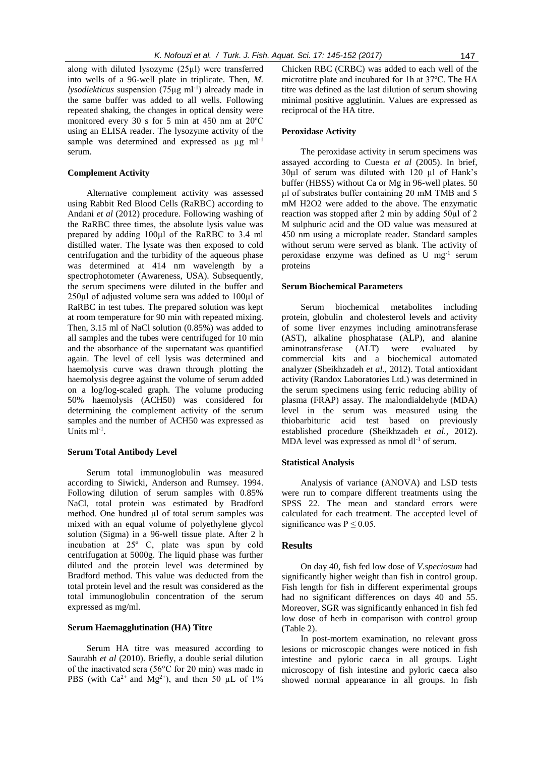along with diluted lysozyme (25µl) were transferred into wells of a 96-well plate in triplicate. Then, *M. lysodiekticus* suspension (75µg ml<sup>-1</sup>) already made in the same buffer was added to all wells. Following repeated shaking, the changes in optical density were monitored every 30 s for 5 min at 450 nm at 20ºC using an ELISA reader. The lysozyme activity of the sample was determined and expressed as  $\mu$ g ml<sup>-1</sup> serum.

## **Complement Activity**

Alternative complement activity was assessed using Rabbit Red Blood Cells (RaRBC) according to Andani *et al* (2012) procedure. Following washing of the RaRBC three times, the absolute lysis value was prepared by adding 100µl of the RaRBC to 3.4 ml distilled water. The lysate was then exposed to cold centrifugation and the turbidity of the aqueous phase was determined at 414 nm wavelength by a spectrophotometer (Awareness, USA). Subsequently, the serum specimens were diluted in the buffer and 250µl of adjusted volume sera was added to 100µl of RaRBC in test tubes. The prepared solution was kept at room temperature for 90 min with repeated mixing. Then, 3.15 ml of NaCl solution (0.85%) was added to all samples and the tubes were centrifuged for 10 min and the absorbance of the supernatant was quantified again. The level of cell lysis was determined and haemolysis curve was drawn through plotting the haemolysis degree against the volume of serum added on a log/log-scaled graph. The volume producing 50% haemolysis (ACH50) was considered for determining the complement activity of the serum samples and the number of ACH50 was expressed as Units  $ml^{-1}$ .

#### **Serum Total Antibody Level**

Serum total immunoglobulin was measured according to Siwicki*,* Anderson and Rumsey. 1994. Following dilution of serum samples with 0.85% NaCl, total protein was estimated by Bradford method. One hundred µl of total serum samples was mixed with an equal volume of polyethylene glycol solution (Sigma) in a 96-well tissue plate. After 2 h incubation at 25º C, plate was spun by cold centrifugation at 5000g. The liquid phase was further diluted and the protein level was determined by Bradford method. This value was deducted from the total protein level and the result was considered as the total immunoglobulin concentration of the serum expressed as mg/ml.

## **Serum Haemagglutination (HA) Titre**

Serum HA titre was measured according to Saurabh *et al* (2010). Briefly, a double serial dilution of the inactivated sera (56°C for 20 min) was made in PBS (with  $Ca^{2+}$  and Mg<sup>2+</sup>), and then 50 µL of 1%

Chicken RBC (CRBC) was added to each well of the microtitre plate and incubated for 1h at 37ºC. The HA titre was defined as the last dilution of serum showing minimal positive agglutinin. Values are expressed as reciprocal of the HA titre.

## **Peroxidase Activity**

The peroxidase activity in serum specimens was assayed according to Cuesta *et al* (2005). In brief, 30µl of serum was diluted with 120 µl of Hank's buffer (HBSS) without Ca or Mg in 96-well plates. 50 µl of substrates buffer containing 20 mM TMB and 5 mM H2O2 were added to the above. The enzymatic reaction was stopped after 2 min by adding 50µl of 2 M sulphuric acid and the OD value was measured at 450 nm using a microplate reader. Standard samples without serum were served as blank. The activity of peroxidase enzyme was defined as U mg-1 serum proteins

#### **Serum Biochemical Parameters**

Serum biochemical metabolites including protein, globulin and cholesterol levels and activity of some liver enzymes including aminotransferase (AST), alkaline phosphatase (ALP), and alanine aminotransferase (ALT) were evaluated by commercial kits and a biochemical automated analyzer (Sheikhzadeh *et al.,* 2012). Total antioxidant activity (Randox Laboratories Ltd.) was determined in the serum specimens using ferric reducing ability of plasma (FRAP) assay. The malondialdehyde (MDA) level in the serum was measured using the thiobarbituric acid test based on previously established procedure (Sheikhzadeh *et al.,* 2012). MDA level was expressed as nmol  $dl^{-1}$  of serum.

## **Statistical Analysis**

Analysis of variance (ANOVA) and LSD tests were run to compare different treatments using the SPSS 22. The mean and standard errors were calculated for each treatment. The accepted level of significance was  $P \le 0.05$ .

## **Results**

On day 40, fish fed low dose of *V.speciosum* had significantly higher weight than fish in control group. Fish length for fish in different experimental groups had no significant differences on days 40 and 55. Moreover, SGR was significantly enhanced in fish fed low dose of herb in comparison with control group (Table 2).

In post-mortem examination, no relevant gross lesions or microscopic changes were noticed in fish intestine and pyloric caeca in all groups. Light microscopy of fish intestine and pyloric caeca also showed normal appearance in all groups. In fish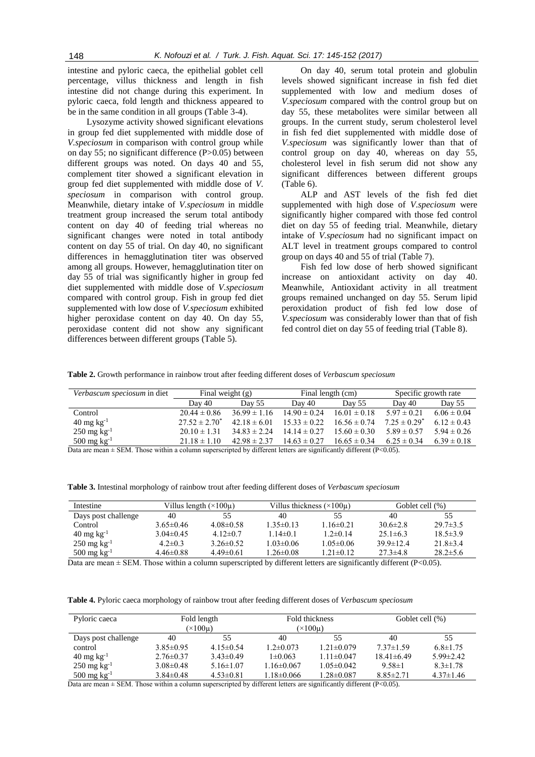intestine and pyloric caeca, the epithelial goblet cell percentage, villus thickness and length in fish intestine did not change during this experiment. In pyloric caeca, fold length and thickness appeared to be in the same condition in all groups (Table 3-4).

Lysozyme activity showed significant elevations in group fed diet supplemented with middle dose of *V.speciosum* in comparison with control group while on day 55; no significant difference (P>0.05) between different groups was noted. On days 40 and 55, complement titer showed a significant elevation in group fed diet supplemented with middle dose of *V. speciosum* in comparison with control group. Meanwhile, dietary intake of *V.speciosum* in middle treatment group increased the serum total antibody content on day 40 of feeding trial whereas no significant changes were noted in total antibody content on day 55 of trial. On day 40, no significant differences in hemagglutination titer was observed among all groups. However, hemagglutination titer on day 55 of trial was significantly higher in group fed diet supplemented with middle dose of *V.speciosum* compared with control group. Fish in group fed diet supplemented with low dose of *V.speciosum* exhibited higher peroxidase content on day 40. On day 55, peroxidase content did not show any significant differences between different groups (Table 5).

On day 40, serum total protein and globulin levels showed significant increase in fish fed diet supplemented with low and medium doses of *V.speciosum* compared with the control group but on day 55, these metabolites were similar between all groups. In the current study, serum cholesterol level in fish fed diet supplemented with middle dose of *V.speciosum* was significantly lower than that of control group on day 40, whereas on day 55, cholesterol level in fish serum did not show any significant differences between different groups (Table 6).

ALP and AST levels of the fish fed diet supplemented with high dose of *V.speciosum* were significantly higher compared with those fed control diet on day 55 of feeding trial. Meanwhile, dietary intake of *V.speciosum* had no significant impact on ALT level in treatment groups compared to control group on days 40 and 55 of trial (Table 7).

Fish fed low dose of herb showed significant increase on antioxidant activity on day 40. Meanwhile, Antioxidant activity in all treatment groups remained unchanged on day 55. Serum lipid peroxidation product of fish fed low dose of *V.speciosum* was considerably lower than that of fish fed control diet on day 55 of feeding trial (Table 8).

**Table 2.** Growth performance in rainbow trout after feeding different doses of *Verbascum speciosum*

| Verbascum speciosum in diet                                                                                            | Final weight $(g)$ |                  |                  | Final length (cm) | Specific growth rate |                 |
|------------------------------------------------------------------------------------------------------------------------|--------------------|------------------|------------------|-------------------|----------------------|-----------------|
|                                                                                                                        | Day 40             | Day 55           | Day 40           | Day 55            | Day 40               | Day 55          |
| Control                                                                                                                | $20.44 \pm 0.86$   | $36.99 \pm 1.16$ | $14.90 \pm 0.24$ | $16.01 \pm 0.18$  | $5.97 \pm 0.21$      | $6.06 \pm 0.04$ |
| $40 \,\mathrm{mg} \,\mathrm{kg}^{-1}$                                                                                  | $27.52 \pm 2.70^*$ | $42.18 \pm 6.01$ | $15.33 \pm 0.22$ | $16.56 \pm 0.74$  | $7.25 \pm 0.29^*$    | $6.12 \pm 0.43$ |
| $250 \,\mathrm{mg} \,\mathrm{kg}^{-1}$                                                                                 | $20.10 \pm 1.31$   | $34.83 \pm 2.24$ | $14.14 \pm 0.27$ | $15.60 \pm 0.30$  | $5.89 \pm 0.57$      | $5.94 \pm 0.26$ |
| $500 \,\mathrm{mg} \,\mathrm{kg}^{-1}$                                                                                 | $21.18 \pm 1.10$   | $42.98 \pm 2.37$ | $14.63 \pm 0.27$ | $16.65 \pm 0.34$  | $6.25 \pm 0.34$      | $6.39 \pm 0.18$ |
| Dete are mean $\pm$ CEM. These within a solumn supercovinted by different letters are significantly different (D<0.05) |                    |                  |                  |                   |                      |                 |

Data are mean  $\pm$  SEM. Those within a column superscripted by different letters are significantly different (P<0.05).

**Table 3.** Intestinal morphology of rainbow trout after feeding different doses of *Verbascum speciosum*

| Intestine                              | Villus length $(\times 100\mu)$ |                 | Villus thickness $(\times 100\mu)$ |                 | Goblet cell (%) |                |
|----------------------------------------|---------------------------------|-----------------|------------------------------------|-----------------|-----------------|----------------|
| Days post challenge                    | 40                              | 55              | 40                                 | 55              | 40              | 55             |
| Control                                | $3.65 \pm 0.46$                 | $4.08 \pm 0.58$ | $1.35 \pm 0.13$                    | $1.16 \pm 0.21$ | $30.6 \pm 2.8$  | $29.7 \pm 3.5$ |
| $40 \text{ mg kg}^{-1}$                | $3.04\pm0.45$                   | $4.12 \pm 0.7$  | $1.14 \pm 0.1$                     | $1.2 \pm 0.14$  | $25.1 \pm 6.3$  | $18.5 \pm 3.9$ |
| $250 \,\mathrm{mg} \,\mathrm{kg}^{-1}$ | $4.2 \pm 0.3$                   | $3.26 \pm 0.52$ | $1.03 \pm 0.06$                    | $1.05 \pm 0.06$ | $39.9 \pm 12.4$ | $21.8 \pm 3.4$ |
| $500 \,\mathrm{mg} \,\mathrm{kg}^{-1}$ | $4.46\pm0.88$                   | $4.49 \pm 0.61$ | $1.26 \pm 0.08$                    | $1.21 \pm 0.12$ | $27.3 \pm 4.8$  | $28.2 \pm 5.6$ |

Data are mean  $\pm$  SEM. Those within a column superscripted by different letters are significantly different (P<0.05).

**Table 4.** Pyloric caeca morphology of rainbow trout after feeding different doses of *Verbascum speciosum*

| Pyloric caeca                          | Fold length<br>$(\times 100\mu)$ |                 | Fold thickness<br>$(\times 100\mu)$ |                  | Goblet cell (%) |                 |
|----------------------------------------|----------------------------------|-----------------|-------------------------------------|------------------|-----------------|-----------------|
| Days post challenge                    | 40                               | 55              | 40                                  | 55               | 40              | 55              |
| control                                | $3.85 \pm 0.95$                  | $4.15 \pm 0.54$ | $1.2 \pm 0.073$                     | $1.21 \pm 0.079$ | $7.37 \pm 1.59$ | $6.8 \pm 1.75$  |
| $40 \text{ mg kg}^{-1}$                | $2.76 \pm 0.37$                  | $3.43 \pm 0.49$ | $1 \pm 0.063$                       | $1.11 \pm 0.047$ | $18.41\pm 6.49$ | $5.99 \pm 2.42$ |
| $250 \,\mathrm{mg} \,\mathrm{kg}^{-1}$ | $3.08 \pm 0.48$                  | $5.16 \pm 1.07$ | $1.16 \pm 0.067$                    | $1.05 \pm 0.042$ | $9.58 \pm 1$    | $8.3 \pm 1.78$  |
| 500 mg $kg^{-1}$                       | $3.84 \pm 0.48$                  | $4.53 \pm 0.81$ | $1.18 \pm 0.066$                    | $1.28 \pm 0.087$ | $8.85 \pm 2.71$ | $4.37 \pm 1.46$ |

Data are mean  $\pm$  SEM. Those within a column superscripted by different letters are significantly different (P<0.05).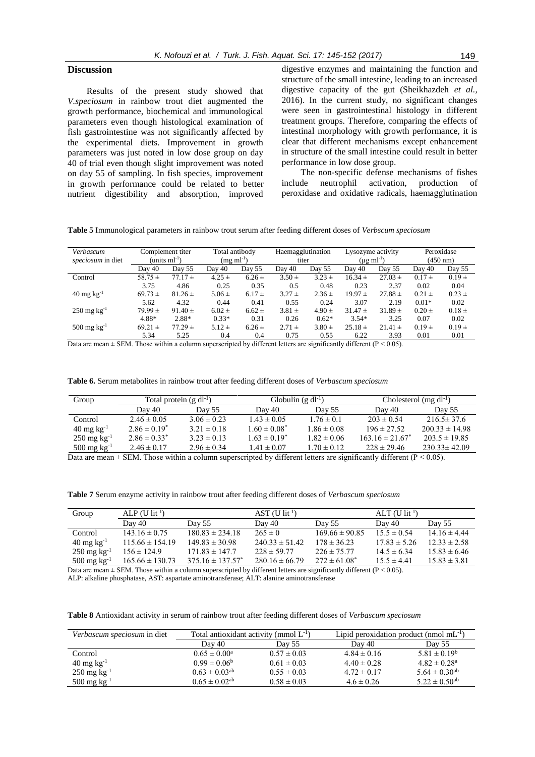## **Discussion**

Results of the present study showed that *V.speciosum* in rainbow trout diet augmented the growth performance, biochemical and immunological parameters even though histological examination of fish gastrointestine was not significantly affected by the experimental diets. Improvement in growth parameters was just noted in low dose group on day 40 of trial even though slight improvement was noted on day 55 of sampling. In fish species, improvement in growth performance could be related to better nutrient digestibility and absorption, improved

digestive enzymes and maintaining the function and structure of the small intestine, leading to an increased digestive capacity of the gut (Sheikhazdeh *et al.,* 2016). In the current study, no significant changes were seen in gastrointestinal histology in different treatment groups. Therefore, comparing the effects of intestinal morphology with growth performance, it is clear that different mechanisms except enhancement in structure of the small intestine could result in better performance in low dose group.

The non-specific defense mechanisms of fishes include neutrophil activation, production of peroxidase and oxidative radicals, haemagglutination

**Table 5** Immunological parameters in rainbow trout serum after feeding different doses of *Verbscum speciosum*

| Verbascum                              |             | Complement titer   | Total antibody    |            | Haemagglutination |            | Lysozyme activity         |             |            | Peroxidase         |
|----------------------------------------|-------------|--------------------|-------------------|------------|-------------------|------------|---------------------------|-------------|------------|--------------------|
| speciosum in diet                      |             | (units $ml^{-1}$ ) | $(mg \; ml^{-1})$ |            | titer             |            | $(\mu g \text{ ml}^{-1})$ |             |            | $(450 \text{ nm})$ |
|                                        | Day 40      | Day 55             | Day 40            | Day 55     | Day 40            | Day 55     | Day 40                    | Day 55      | Day 40     | Day 55             |
| Control                                | $58.75 \pm$ | $77.17 \pm$        | $4.25 \pm$        | $6.26 \pm$ | $3.50 \pm$        | $3.23 \pm$ | $16.34 \pm$               | $27.03 \pm$ | $0.17 \pm$ | $0.19 +$           |
|                                        | 3.75        | 4.86               | 0.25              | 0.35       | 0.5               | 0.48       | 0.23                      | 2.37        | 0.02       | 0.04               |
| $40 \text{ mg kg}^{-1}$                | $69.73 \pm$ | $81.26 \pm$        | $5.06 \pm$        | $6.17 \pm$ | $3.27 \pm$        | $2.36 \pm$ | $19.97 \pm$               | $27.88 \pm$ | $0.21 \pm$ | $0.23 \pm$         |
|                                        | 5.62        | 4.32               | 0.44              | 0.41       | 0.55              | 0.24       | 3.07                      | 2.19        | $0.01*$    | 0.02               |
| $250 \,\mathrm{mg} \,\mathrm{kg}^{-1}$ | $79.99 \pm$ | $91.40 \pm$        | $6.02 \pm$        | $6.62 \pm$ | $3.81 \pm$        | $4.90 \pm$ | $31.47 \pm$               | $31.89 \pm$ | $0.20 \pm$ | $0.18 \pm$         |
|                                        | 4.88*       | 2.88*              | $0.33*$           | 0.31       | 0.26              | $0.62*$    | $3.54*$                   | 3.25        | 0.07       | 0.02               |
| $500 \,\mathrm{mg} \,\mathrm{kg}^{-1}$ | $69.21 \pm$ | $77.29 \pm$        | $5.12 \pm$        | $6.26 \pm$ | $2.71 \pm$        | $3.80 \pm$ | $25.18 \pm$               | $21.41 \pm$ | $0.19 \pm$ | $0.19 +$           |
|                                        | 5.34        | 5.25               | 0.4               | 0.4        | 0.75              | 0.55       | 6.22                      | 3.93        | 0.01       | 0.01               |

Data are mean  $\pm$  SEM. Those within a column superscripted by different letters are significantly different (P < 0.05).

| <b>Table 6.</b> Serum metabolites in rainbow trout after feeding different doses of <i>Verbascum speciosum</i> |  |  |
|----------------------------------------------------------------------------------------------------------------|--|--|
|----------------------------------------------------------------------------------------------------------------|--|--|

| Group                                      | Total protein $(g \, dl^{-1})$ |                 |                       | Globulin $(g \, dl^{-1})$ | Cholesterol (mg $dl^{-1}$ ) |                       |  |
|--------------------------------------------|--------------------------------|-----------------|-----------------------|---------------------------|-----------------------------|-----------------------|--|
|                                            | Day 40                         | Day 55          | Day 40                | Day 55                    | Day 40                      | Day 55                |  |
| Control                                    | $2.46 \pm 0.05$                | $3.06 \pm 0.23$ | $1.43 \pm 0.05$       | $1.76 \pm 0.1$            | $203 \pm 0.54$              | $216.5 \pm 37.6$      |  |
| $40 \,\mathrm{mg} \,\mathrm{kg}^{-1}$      | $2.86 \pm 0.19^*$              | $3.21 \pm 0.18$ | $1.60 \pm 0.08^*$     | $1.86 \pm 0.08$           | $196 \pm 27.52$             | $200.33 \pm 14.98$    |  |
| $250 \,\mathrm{mg} \,\mathrm{kg}^{-1}$     | $2.86 \pm 0.33^*$              | $3.23 \pm 0.13$ | $1.63 \pm 0.19^*$     | $1.82 \pm 0.06$           | $163.16 \pm 21.67^*$        | $203.5 \pm 19.85$     |  |
| $500 \,\mathrm{mg} \,\mathrm{kg}^{-1}$     | $2.46 \pm 0.17$                | $2.96 \pm 0.34$ | $1.41 \pm 0.07$       | $1.70 \pm 0.12$           | $228 \pm 29.46$             | $230.33 \pm 42.09$    |  |
| $\mathbf{r}$ . The same state $\mathbf{r}$ | $.771f$ $T1$                   |                 | $\cdot$ 11 $\cdot$ 00 | $\sim$ 1 $\sim$ $\sim$    | $\cdots$ $\cdots$ $\cdots$  | $\sqrt{D}$ $\sqrt{D}$ |  |

Data are mean  $\pm$  SEM. Those within a column superscripted by different letters are significantly different (P < 0.05).

**Table 7** Serum enzyme activity in rainbow trout after feeding different doses of *Verbascum speciosum*

| Group                                  | $ALP$ (U lit <sup>-1</sup> ) |                       | $AST$ (U lit <sup>-1</sup> ) |                    | $ALT$ (U lit <sup>-1</sup> ) |                  |
|----------------------------------------|------------------------------|-----------------------|------------------------------|--------------------|------------------------------|------------------|
|                                        | Day 40                       | Day 55                | Day 40                       | Day 55             | Day 40                       | Day 55           |
| Control                                | $143.16 \pm 0.75$            | $180.83 \pm 234.18$   | $265 \pm 0$                  | $169.66 \pm 90.85$ | $15.5 \pm 0.54$              | $14.16 \pm 4.44$ |
| $40 \text{ mg kg}^{-1}$                | $115.66 \pm 154.19$          | $149.83 \pm 30.98$    | $240.33 \pm 51.42$           | $178 \pm 36.23$    | $17.83 \pm 5.26$             | $12.33 \pm 2.58$ |
| $250 \text{ mg kg}^{-1}$               | $156 \pm 124.9$              | $171.83 \pm 147.7$    | $228 \pm 59.77$              | $226 \pm 75.77$    | $14.5 \pm 6.34$              | $15.83 \pm 6.46$ |
| $500 \,\mathrm{mg} \,\mathrm{kg}^{-1}$ | $165.66 \pm 130.73$          | $375.16 \pm 137.57^*$ | $280.16 \pm 66.79$           | $272 \pm 61.08^*$  | $15.5 \pm 4.41$              | $15.83 \pm 3.81$ |

Data are mean  $\pm$  SEM. Those within a column superscripted by different letters are significantly different (P < 0.05).

ALP: alkaline phosphatase, AST: aspartate aminotransferase; ALT: alanine aminotransferase

**Table 8** Antioxidant activity in serum of rainbow trout after feeding different doses of *Verbascum speciosum*

| Verbascum speciosum in diet            | Total antioxidant activity (mmol $L^{-1}$ ) |                 |                 | Lipid peroxidation product (nmol $mL^{-1}$ ) |
|----------------------------------------|---------------------------------------------|-----------------|-----------------|----------------------------------------------|
|                                        | Day 40                                      | Day 55          | Day 40          | Day 55                                       |
| Control                                | $0.65 \pm 0.00^{\circ}$                     | $0.57 \pm 0.03$ | $4.84 \pm 0.16$ | $5.81 \pm 0.19^b$                            |
| $40 \,\mathrm{mg} \,\mathrm{kg}^{-1}$  | $0.99 \pm 0.06^b$                           | $0.61 \pm 0.03$ | $4.40 \pm 0.28$ | $4.82 \pm 0.28$ <sup>a</sup>                 |
| $250 \,\mathrm{mg} \,\mathrm{kg}^{-1}$ | $0.63 \pm 0.03^{ab}$                        | $0.55 \pm 0.03$ | $4.72 \pm 0.17$ | $5.64 \pm 0.30$ <sup>ab</sup>                |
| $500 \text{ mg kg}^{-1}$               | $0.65 \pm 0.02$ <sup>ab</sup>               | $0.58 \pm 0.03$ | $4.6 \pm 0.26$  | $5.22 \pm 0.50$ <sup>ab</sup>                |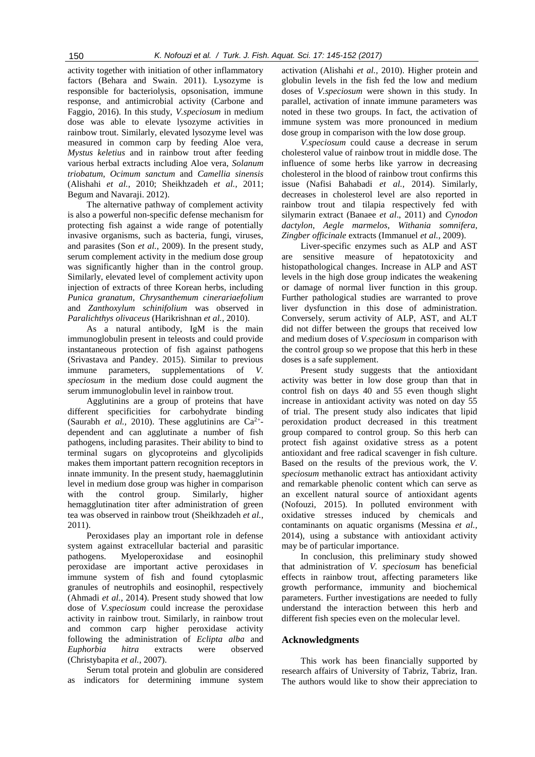activity together with initiation of other inflammatory factors (Behara and Swain. 2011). Lysozyme is responsible for bacteriolysis, opsonisation, immune response, and antimicrobial activity (Carbone and Faggio, 2016). In this study, *V.speciosum* in medium dose was able to elevate lysozyme activities in rainbow trout. Similarly, elevated lysozyme level was measured in common carp by feeding Aloe vera, *Mystus keletius* and in rainbow trout after feeding various herbal extracts including Aloe vera, *Solanum triobatum*, *Ocimum sanctum* and *Camellia sinensis* (Alishahi *et al.,* 2010; Sheikhzadeh *et al.,* 2011; Begum and Navaraji. 2012).

The alternative pathway of complement activity is also a powerful non-specific defense mechanism for protecting fish against a wide range of potentially invasive organisms, such as bacteria, fungi, viruses, and parasites (Son *et al.,* 2009). In the present study, serum complement activity in the medium dose group was significantly higher than in the control group. Similarly, elevated level of complement activity upon injection of extracts of three Korean herbs, including *Punica granatum*, *Chrysanthemum cinerariaefolium* and *Zanthoxylum schinifolium* was observed in *Paralichthys olivaceus* (Harikrishnan *et al.,* 2010).

As a natural antibody, IgM is the main immunoglobulin present in teleosts and could provide instantaneous protection of fish against pathogens (Srivastava and Pandey. 2015). Similar to previous immune parameters, supplementations of *V. speciosum* in the medium dose could augment the serum immunoglobulin level in rainbow trout.

Agglutinins are a group of proteins that have different specificities for carbohydrate binding (Saurabh *et al.*, 2010). These agglutinins are  $Ca^{2+}$ dependent and can agglutinate a number of fish pathogens, including parasites. Their ability to bind to terminal sugars on glycoproteins and glycolipids makes them important pattern recognition receptors in innate immunity. In the present study, haemagglutinin level in medium dose group was higher in comparison with the control group. Similarly, higher hemagglutination titer after administration of green tea was observed in rainbow trout (Sheikhzadeh *et al.,* 2011).

Peroxidases play an important role in defense system against extracellular bacterial and parasitic pathogens. Myeloperoxidase and eosinophil peroxidase are important active peroxidases in immune system of fish and found cytoplasmic granules of neutrophils and eosinophil, respectively (Ahmadi *et al.*, 2014). Present study showed that low dose of *V.speciosum* could increase the peroxidase activity in rainbow trout. Similarly, in rainbow trout and common carp higher peroxidase activity following the administration of *Eclipta alba* and *Euphorbia hitra* extracts were observed (Christybapita *et al.,* 2007).

Serum total protein and globulin are considered as indicators for determining immune system activation (Alishahi *et al.,* 2010). Higher protein and globulin levels in the fish fed the low and medium doses of *V.speciosum* were shown in this study. In parallel, activation of innate immune parameters was noted in these two groups. In fact, the activation of immune system was more pronounced in medium dose group in comparison with the low dose group.

*V.speciosum* could cause a decrease in serum cholesterol value of rainbow trout in middle dose. The influence of some herbs like yarrow in decreasing cholesterol in the blood of rainbow trout confirms this issue (Nafisi Bahabadi *et al.,* 2014). Similarly, decreases in cholesterol level are also reported in rainbow trout and tilapia respectively fed with silymarin extract (Banaee *et al*., 2011) and *Cynodon dactylon*, *Aegle marmelos*, *Withania somnifera*, *Zingber officinale* extracts (Immanuel *et al.,* 2009).

Liver-specific enzymes such as ALP and AST are sensitive measure of hepatotoxicity and histopathological changes. Increase in ALP and AST levels in the high dose group indicates the weakening or damage of normal liver function in this group. Further pathological studies are warranted to prove liver dysfunction in this dose of administration. Conversely, serum activity of ALP, AST, and ALT did not differ between the groups that received low and medium doses of *V.speciosum* in comparison with the control group so we propose that this herb in these doses is a safe supplement.

Present study suggests that the antioxidant activity was better in low dose group than that in control fish on days 40 and 55 even though slight increase in antioxidant activity was noted on day 55 of trial. The present study also indicates that lipid peroxidation product decreased in this treatment group compared to control group. So this herb can protect fish against oxidative stress as a potent antioxidant and free radical scavenger in fish culture. Based on the results of the previous work, the *V. speciosum* methanolic extract has antioxidant activity and remarkable phenolic content which can serve as an excellent natural source of antioxidant agents (Nofouzi, 2015). In polluted environment with oxidative stresses induced by chemicals and contaminants on aquatic organisms (Messina *et al.,* 2014), using a substance with antioxidant activity may be of particular importance.

In conclusion, this preliminary study showed that administration of *V. speciosum* has beneficial effects in rainbow trout, affecting parameters like growth performance, immunity and biochemical parameters. Further investigations are needed to fully understand the interaction between this herb and different fish species even on the molecular level.

## **Acknowledgments**

This work has been financially supported by research affairs of University of Tabriz, Tabriz, Iran. The authors would like to show their appreciation to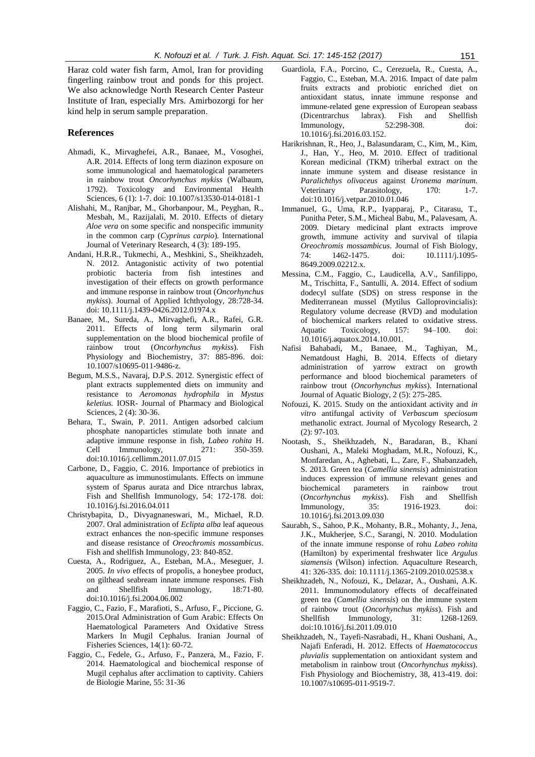Haraz cold water fish farm, Amol, Iran for providing fingerling rainbow trout and ponds for this project. We also acknowledge North Research Center Pasteur Institute of Iran, especially Mrs. Amirbozorgi for her kind help in serum sample preparation.

## **References**

- Ahmadi, K., Mirvaghefei, A.R., Banaee, M., Vosoghei, A.R. 2014. Effects of long term diazinon exposure on some immunological and haematological parameters in rainbow trout *Oncorhynchus mykiss* (Walbaum, 1792). Toxicology and Environmental Health Sciences, 6 (1): 1-7. doi: 10.1007/s13530-014-0181-1
- Alishahi, M., Ranjbar, M., Ghorbanpour, M., Peyghan, R., Mesbah, M., Razijalali, M. 2010. Effects of dietary *Aloe vera* on some specific and nonspecific immunity in the common carp (*Cyprinus carpio*). International Journal of Veterinary Research, 4 (3): 189-195.
- Andani, H.R.R., Tukmechi, A., Meshkini, S., Sheikhzadeh, N. 2012. Antagonistic activity of two potential probiotic bacteria from fish intestines and investigation of their effects on growth performance and immune response in rainbow trout (*Oncorhynchus mykiss*). Journal of Applied Ichthyology, 28:728-34. doi: 10.1111/j.1439-0426.2012.01974.x
- Banaee, M., Sureda, A., Mirvaghefi, A.R., Rafei, G.R. 2011. Effects of long term silymarin oral supplementation on the blood biochemical profile of rainbow trout (*Oncorhynchus mykiss*). Fish Physiology and Biochemistry, 37: 885-896. doi: 10.1007/s10695-011-9486-z.
- Begum, M.S.S., Navaraj, D.P.S. 2012. Synergistic effect of plant extracts supplemented diets on immunity and resistance to *Aeromonas hydrophila* in *Mystus keletius.* IOSR- Journal of Pharmacy and Biological Sciences, 2 (4): 30-36.
- Behara, T., Swain, P. 2011. Antigen adsorbed calcium phosphate nanoparticles stimulate both innate and adaptive immune response in fish*, Labeo rohita* H. Cell Immunology, 271: 350-359. doi:10.1016/j.cellimm.2011.07.015
- Carbone, D., Faggio, C. 2016. Importance of prebiotics in aquaculture as immunostimulants. Effects on immune system of Sparus aurata and Dice ntrarchus labrax, Fish and Shellfish Immunology, 54: 172-178. doi: 10.1016/j.fsi.2016.04.011
- Christybapita, D., Divyagnaneswari, M., Michael, R.D. 2007. Oral administration of *Eclipta alba* leaf aqueous extract enhances the non-specific immune responses and disease resistance of *Oreochromis mossambicus*. Fish and shellfish Immunology, 23: 840-852.
- Cuesta, A., Rodriguez, A., Esteban, M.A., Meseguer, J. 2005. *In vivo* effects of propolis, a honeybee product, on gilthead seabream innate immune responses. Fish and Shellfish Immunology, 18:71-80. do[i:10.1016/j.fsi.2004.06.002](http://dx.doi.org/10.1016/j.fsi.2004.06.002)
- Faggio, C., Fazio, F., Marafioti, S., Arfuso, F., Piccione, G. 2015.Oral Administration of Gum Arabic: Effects On Haematological Parameters And Oxidative Stress Markers In Mugil Cephalus. Iranian Journal of Fisheries Sciences, 14(1): 60-72.
- Faggio, C., Fedele, G., Arfuso, F., Panzera, M., Fazio, F. 2014. Haematological and biochemical response of Mugil cephalus after acclimation to captivity. Cahiers de Biologie Marine, 55: 31-36
- Guardiola, F.A., Porcino, C., Cerezuela, R., Cuesta, A., Faggio, C., Esteban, M.A. 2016. Impact of date palm fruits extracts and probiotic enriched diet on antioxidant status, innate immune response and immune-related gene expression of European seabass (Dicentrarchus labrax). Fish and Shellfish Immunology, 52:298-308. doi: 10.1016/j.fsi.2016.03.152.
- Harikrishnan, R., Heo, J., Balasundaram, C., Kim, M., Kim, J., Han, Y., Heo, M. 2010. Effect of traditional Korean medicinal (TKM) triherbal extract on the innate immune system and disease resistance in *Paralichthys olivaceus* against *Uronema marinum*. Veterinary Parasitology, 170: 1-7. doi:10.1016/j.vetpar.2010.01.046
- Immanuel, G., Uma, R.P., Iyapparaj, P., Citarasu, T., Punitha Peter, S.M., Micheal Babu, M., Palavesam, A. 2009. Dietary medicinal plant extracts improve growth, immune activity and survival of tilapia *Oreochromis mossambicus*. Journal of Fish Biology, 74: 1462-1475. doi: 10.1111/j.1095- 8649.2009.02212.x.
- Messina, C.M., Faggio, C., Laudicella, A.V., Sanfilippo, M., Trischitta, F., Santulli, A. 2014. Effect of sodium dodecyl sulfate (SDS) on stress response in the Mediterranean mussel (Mytilus Galloprovincialis): Regulatory volume decrease (RVD) and modulation of biochemical markers related to oxidative stress. Aquatic Toxicology, 157: 94–100. doi: 10.1016/j.aquatox.2014.10.001.
- Nafisi Bahabadi, M., Banaee, M., Taghiyan, M., Nematdoust Haghi, B. 2014. Effects of dietary administration of yarrow extract on growth performance and blood biochemical parameters of rainbow trout (*Oncorhynchus mykiss*). International Journal of Aquatic Biology, 2 (5): 275-285.
- Nofouzi, K. 2015. Study on the antioxidant activity and *in vitro* antifungal activity of *Verbascum speciosum*  methanolic extract. Journal of Mycology Research, 2  $(2)$ : 97-103.
- Nootash, S., Sheikhzadeh, N., Baradaran, B., Khani Oushani, A., Maleki Moghadam, M.R., Nofouzi, K., Monfaredan, A., Aghebati, L., Zare, F., Shabanzadeh, S. 2013. Green tea (*Camellia sinensis*) administration induces expression of immune relevant genes and biochemical parameters in rainbow trout (Oncorhynchus mykiss). Fish and Shellfish (*Oncorhynchus mykiss*). Fish and Shellfish Immunology, 35: 1916-1923. doi: 10.1016/j.fsi.2013.09.030
- Saurabh, S., Sahoo, P.K., Mohanty, B.R., Mohanty, J., Jena, J.K., Mukherjee, S.C., Sarangi, N. 2010. Modulation of the innate immune response of rohu *Labeo rohita* (Hamilton) by experimental freshwater lice *Argulus siamensis* (Wilson) infection. Aquaculture Research, 41: 326-335. doi: 10.1111/j.1365-2109.2010.02538.x
- Sheikhzadeh, N., Nofouzi, K., Delazar, A., Oushani, A.K. 2011. Immunomodulatory effects of decaffeinated green tea (*Camellia sinensis*) on the immune system of rainbow trout (*Oncorhynchus mykiss*). Fish and Shellfish Immunology, 31: 1268-1269. doi:10.1016/j.fsi.2011.09.010
- Sheikhzadeh, N., Tayefi-Nasrabadi, H., Khani Oushani, A., Najafi Enferadi, H. 2012. Effects of *Haematococcus pluvialis* supplementation on antioxidant system and metabolism in rainbow trout (*Oncorhynchus mykiss*). Fish Physiology and Biochemistry, 38, 413-419. doi: 10.1007/s10695-011-9519-7.